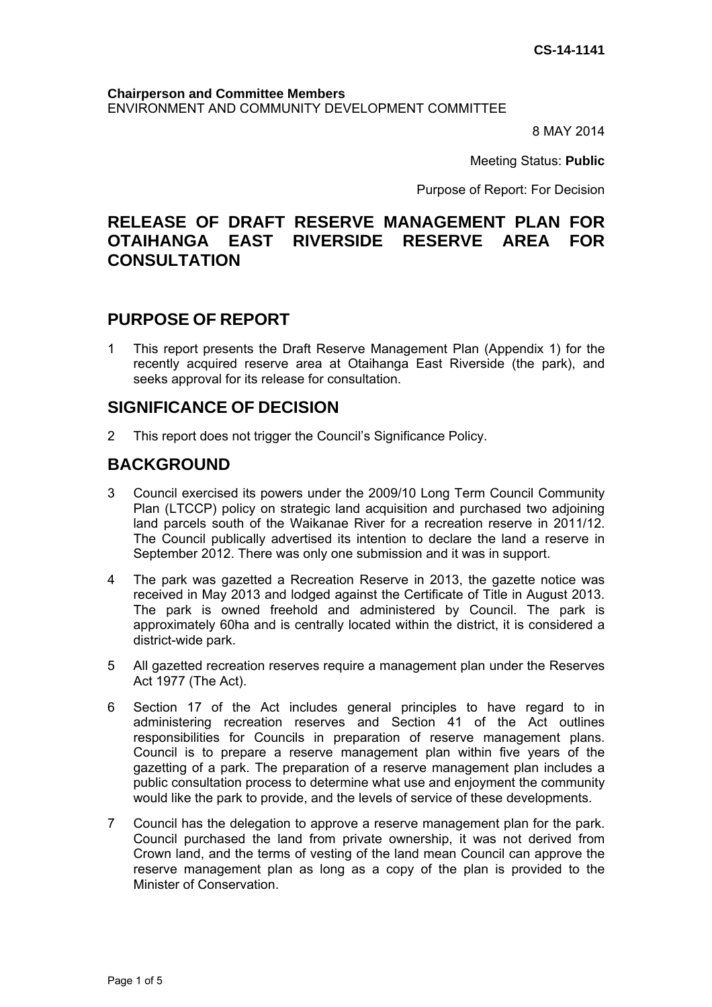#### **Chairperson and Committee Members**  ENVIRONMENT AND COMMUNITY DEVELOPMENT COMMITTEE

8 MAY 2014

Meeting Status: **Public**

Purpose of Report: For Decision

# **RELEASE OF DRAFT RESERVE MANAGEMENT PLAN FOR OTAIHANGA EAST RIVERSIDE RESERVE AREA FOR CONSULTATION**

# **PURPOSE OF REPORT**

1 This report presents the Draft Reserve Management Plan (Appendix 1) for the recently acquired reserve area at Otaihanga East Riverside (the park), and seeks approval for its release for consultation.

# **SIGNIFICANCE OF DECISION**

2 This report does not trigger the Council's Significance Policy.

### **BACKGROUND**

- 3 Council exercised its powers under the 2009/10 Long Term Council Community Plan (LTCCP) policy on strategic land acquisition and purchased two adjoining land parcels south of the Waikanae River for a recreation reserve in 2011/12. The Council publically advertised its intention to declare the land a reserve in September 2012. There was only one submission and it was in support.
- 4 The park was gazetted a Recreation Reserve in 2013, the gazette notice was received in May 2013 and lodged against the Certificate of Title in August 2013. The park is owned freehold and administered by Council. The park is approximately 60ha and is centrally located within the district, it is considered a district-wide park.
- 5 All gazetted recreation reserves require a management plan under the Reserves Act 1977 (The Act).
- 6 Section 17 of the Act includes general principles to have regard to in administering recreation reserves and Section 41 of the Act outlines responsibilities for Councils in preparation of reserve management plans. Council is to prepare a reserve management plan within five years of the gazetting of a park. The preparation of a reserve management plan includes a public consultation process to determine what use and enjoyment the community would like the park to provide, and the levels of service of these developments.
- 7 Council has the delegation to approve a reserve management plan for the park. Council purchased the land from private ownership, it was not derived from Crown land, and the terms of vesting of the land mean Council can approve the reserve management plan as long as a copy of the plan is provided to the Minister of Conservation.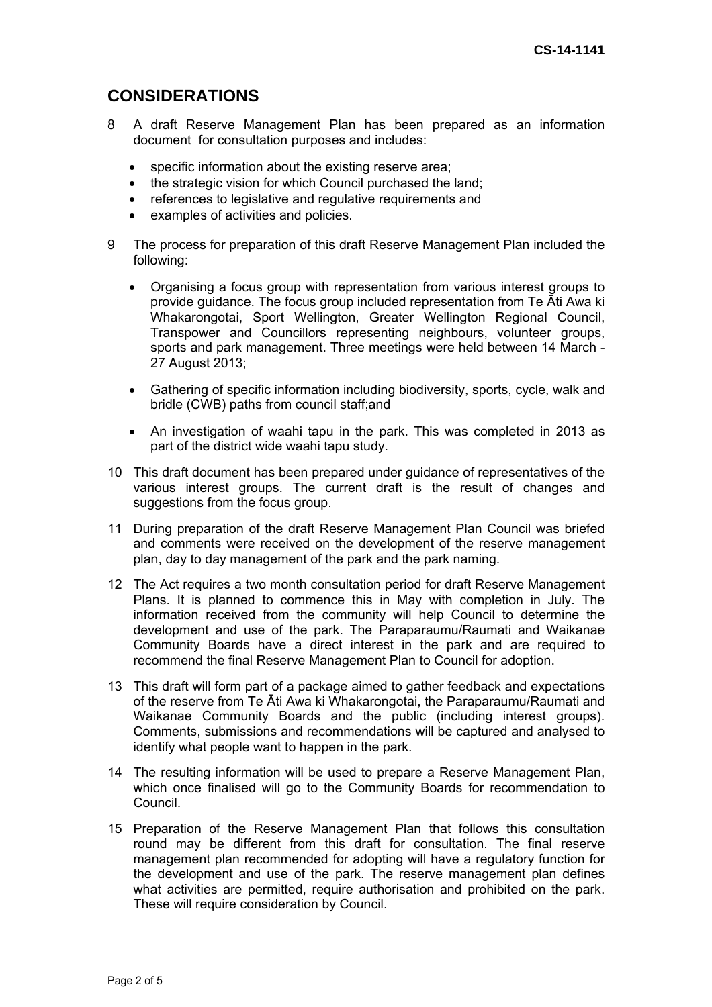# **CONSIDERATIONS**

- 8 A draft Reserve Management Plan has been prepared as an information document for consultation purposes and includes:
	- specific information about the existing reserve area;
	- the strategic vision for which Council purchased the land;
	- references to legislative and regulative requirements and
	- examples of activities and policies.
- 9 The process for preparation of this draft Reserve Management Plan included the following:
	- Organising a focus group with representation from various interest groups to provide guidance. The focus group included representation from Te Āti Awa ki Whakarongotai, Sport Wellington, Greater Wellington Regional Council, Transpower and Councillors representing neighbours, volunteer groups, sports and park management. Three meetings were held between 14 March - 27 August 2013;
	- Gathering of specific information including biodiversity, sports, cycle, walk and bridle (CWB) paths from council staff;and
	- An investigation of waahi tapu in the park. This was completed in 2013 as part of the district wide waahi tapu study.
- 10 This draft document has been prepared under guidance of representatives of the various interest groups. The current draft is the result of changes and suggestions from the focus group.
- 11 During preparation of the draft Reserve Management Plan Council was briefed and comments were received on the development of the reserve management plan, day to day management of the park and the park naming.
- 12 The Act requires a two month consultation period for draft Reserve Management Plans. It is planned to commence this in May with completion in July. The information received from the community will help Council to determine the development and use of the park. The Paraparaumu/Raumati and Waikanae Community Boards have a direct interest in the park and are required to recommend the final Reserve Management Plan to Council for adoption.
- 13 This draft will form part of a package aimed to gather feedback and expectations of the reserve from Te Āti Awa ki Whakarongotai, the Paraparaumu/Raumati and Waikanae Community Boards and the public (including interest groups). Comments, submissions and recommendations will be captured and analysed to identify what people want to happen in the park.
- 14 The resulting information will be used to prepare a Reserve Management Plan, which once finalised will go to the Community Boards for recommendation to Council.
- 15 Preparation of the Reserve Management Plan that follows this consultation round may be different from this draft for consultation. The final reserve management plan recommended for adopting will have a regulatory function for the development and use of the park. The reserve management plan defines what activities are permitted, require authorisation and prohibited on the park. These will require consideration by Council.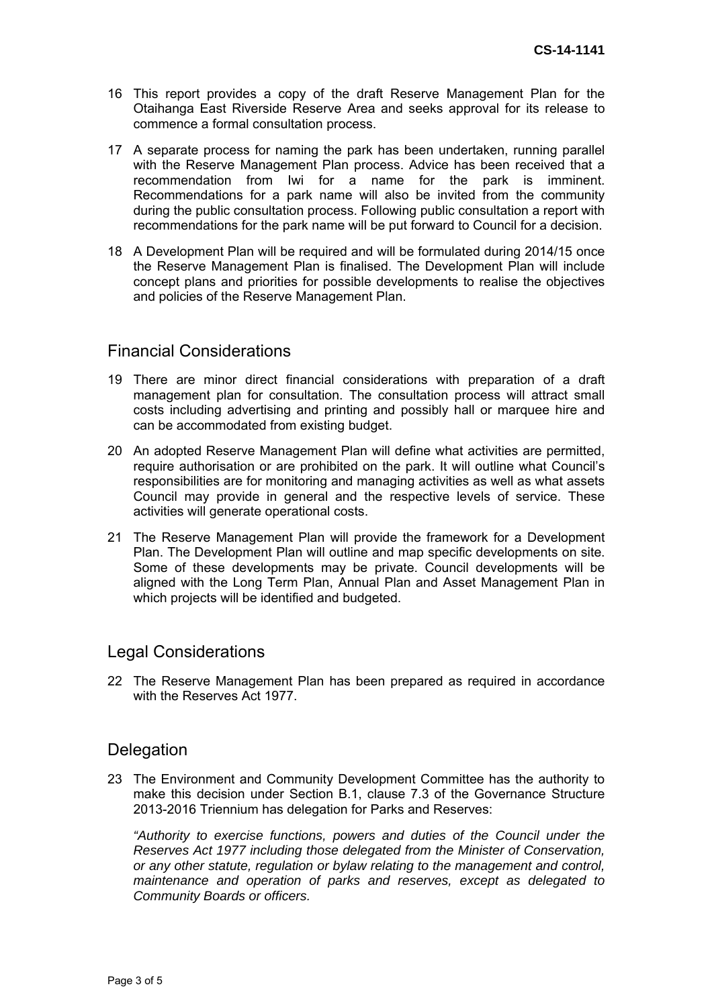- 16 This report provides a copy of the draft Reserve Management Plan for the Otaihanga East Riverside Reserve Area and seeks approval for its release to commence a formal consultation process.
- 17 A separate process for naming the park has been undertaken, running parallel with the Reserve Management Plan process. Advice has been received that a recommendation from Iwi for a name for the park is imminent. Recommendations for a park name will also be invited from the community during the public consultation process. Following public consultation a report with recommendations for the park name will be put forward to Council for a decision.
- 18 A Development Plan will be required and will be formulated during 2014/15 once the Reserve Management Plan is finalised. The Development Plan will include concept plans and priorities for possible developments to realise the objectives and policies of the Reserve Management Plan.

### Financial Considerations

- 19 There are minor direct financial considerations with preparation of a draft management plan for consultation. The consultation process will attract small costs including advertising and printing and possibly hall or marquee hire and can be accommodated from existing budget.
- 20 An adopted Reserve Management Plan will define what activities are permitted, require authorisation or are prohibited on the park. It will outline what Council's responsibilities are for monitoring and managing activities as well as what assets Council may provide in general and the respective levels of service. These activities will generate operational costs.
- 21 The Reserve Management Plan will provide the framework for a Development Plan. The Development Plan will outline and map specific developments on site. Some of these developments may be private. Council developments will be aligned with the Long Term Plan, Annual Plan and Asset Management Plan in which projects will be identified and budgeted.

### Legal Considerations

22 The Reserve Management Plan has been prepared as required in accordance with the Reserves Act 1977.

### **Delegation**

23 The Environment and Community Development Committee has the authority to make this decision under Section B.1, clause 7.3 of the Governance Structure 2013-2016 Triennium has delegation for Parks and Reserves:

*"Authority to exercise functions, powers and duties of the Council under the Reserves Act 1977 including those delegated from the Minister of Conservation, or any other statute, regulation or bylaw relating to the management and control, maintenance and operation of parks and reserves, except as delegated to Community Boards or officers.*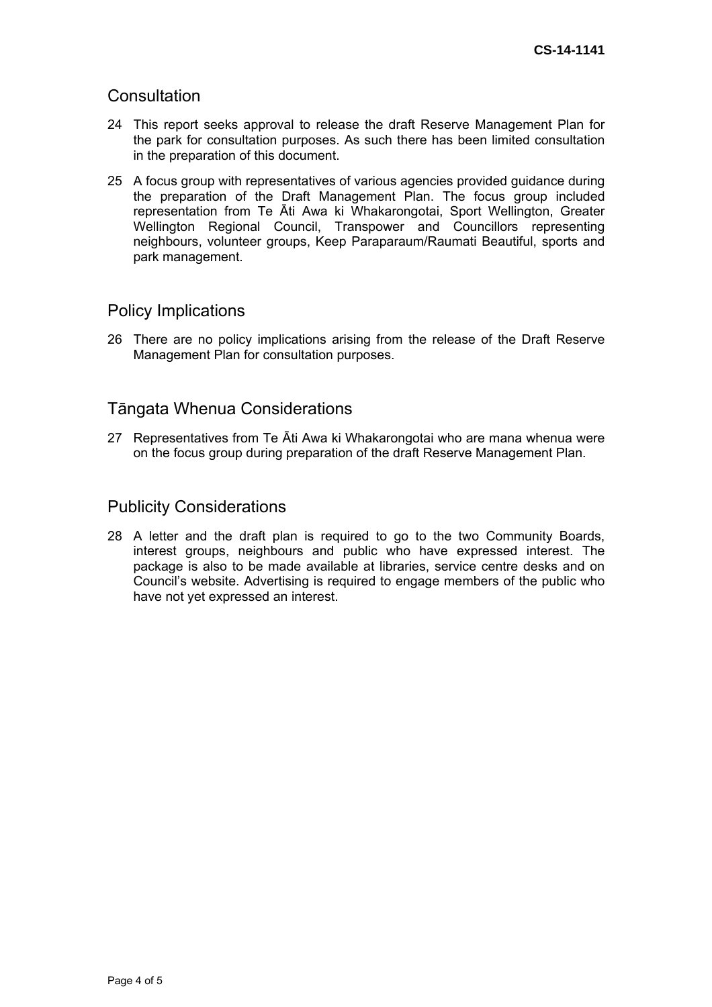### **Consultation**

- 24 This report seeks approval to release the draft Reserve Management Plan for the park for consultation purposes. As such there has been limited consultation in the preparation of this document.
- 25 A focus group with representatives of various agencies provided guidance during the preparation of the Draft Management Plan. The focus group included representation from Te Āti Awa ki Whakarongotai, Sport Wellington, Greater Wellington Regional Council, Transpower and Councillors representing neighbours, volunteer groups, Keep Paraparaum/Raumati Beautiful, sports and park management.

### Policy Implications

26 There are no policy implications arising from the release of the Draft Reserve Management Plan for consultation purposes.

### Tāngata Whenua Considerations

27 Representatives from Te Āti Awa ki Whakarongotai who are mana whenua were on the focus group during preparation of the draft Reserve Management Plan.

#### Publicity Considerations

28 A letter and the draft plan is required to go to the two Community Boards, interest groups, neighbours and public who have expressed interest. The package is also to be made available at libraries, service centre desks and on Council's website. Advertising is required to engage members of the public who have not yet expressed an interest.